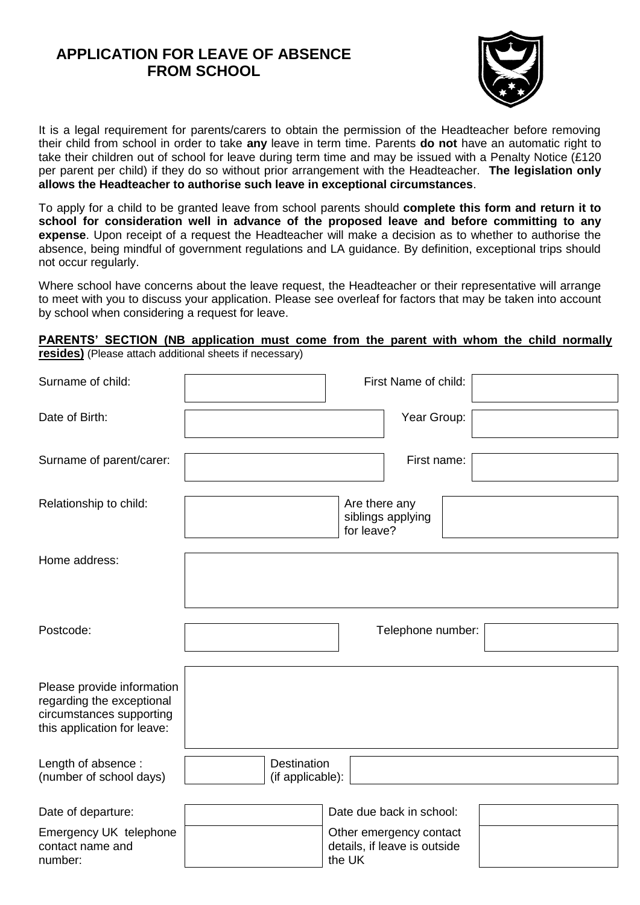# **APPLICATION FOR LEAVE OF ABSENCE FROM SCHOOL**



It is a legal requirement for parents/carers to obtain the permission of the Headteacher before removing their child from school in order to take **any** leave in term time. Parents **do not** have an automatic right to take their children out of school for leave during term time and may be issued with a Penalty Notice (£120 per parent per child) if they do so without prior arrangement with the Headteacher. **The legislation only allows the Headteacher to authorise such leave in exceptional circumstances**.

To apply for a child to be granted leave from school parents should **complete this form and return it to school for consideration well in advance of the proposed leave and before committing to any expense**. Upon receipt of a request the Headteacher will make a decision as to whether to authorise the absence, being mindful of government regulations and LA guidance. By definition, exceptional trips should not occur regularly.

Where school have concerns about the leave request, the Headteacher or their representative will arrange to meet with you to discuss your application. Please see overleaf for factors that may be taken into account by school when considering a request for leave.

#### **PARENTS' SECTION (NB application must come from the parent with whom the child normally resides)** (Please attach additional sheets if necessary)

| Surname of child:                                                                                                  | First Name of child:                                              |  |  |  |
|--------------------------------------------------------------------------------------------------------------------|-------------------------------------------------------------------|--|--|--|
| Date of Birth:                                                                                                     | Year Group:                                                       |  |  |  |
| Surname of parent/carer:                                                                                           | First name:                                                       |  |  |  |
| Relationship to child:                                                                                             | Are there any<br>siblings applying<br>for leave?                  |  |  |  |
| Home address:                                                                                                      |                                                                   |  |  |  |
| Postcode:                                                                                                          | Telephone number:                                                 |  |  |  |
| Please provide information<br>regarding the exceptional<br>circumstances supporting<br>this application for leave: |                                                                   |  |  |  |
| Length of absence:<br>(number of school days)                                                                      | <b>Destination</b><br>(if applicable):                            |  |  |  |
| Date of departure:                                                                                                 | Date due back in school:                                          |  |  |  |
| Emergency UK telephone<br>contact name and<br>number:                                                              | Other emergency contact<br>details, if leave is outside<br>the UK |  |  |  |